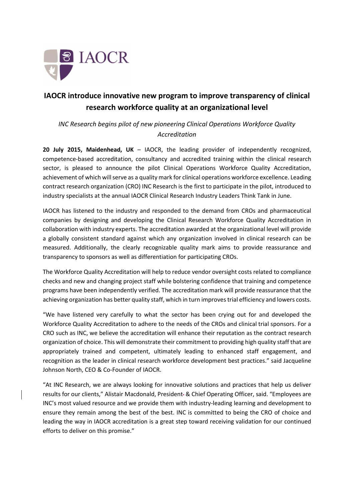

## IAOCR introduce innovative new program to improve transparency of clinical research workforce quality at an organizational level

*INC Research begins pilot of new pioneering Clinical Operations Workforce Quality Accreditation*

20 July 2015, Maidenhead, UK – IAOCR, the leading provider of independently recognized, competence-based accreditation, consultancy and accredited training within the clinical research sector, is pleased to announce the pilot Clinical Operations Workforce Quality Accreditation, achievement of which will serve as a quality mark for clinical operations workforce excellence. Leading contract research organization (CRO) INC Research is the first to participate in the pilot, introduced to industry specialists at the annual IAOCR Clinical Research Industry Leaders Think Tank in June.

IAOCR has listened to the industry and responded to the demand from CROs and pharmaceutical companies by designing and developing the Clinical Research Workforce Quality Accreditation in collaboration with industry experts. The accreditation awarded at the organizational level will provide a globally consistent standard against which any organization involved in clinical research can be measured. Additionally, the clearly recognizable quality mark aims to provide reassurance and transparency to sponsors as well as differentiation for participating CROs.

The Workforce Quality Accreditation will help to reduce vendor oversight costs related to compliance checks and new and changing project staff while bolstering confidence that training and competence programs have been independently verified. The accreditation mark will provide reassurance that the achieving organization has better quality staff, which in turn improves trial efficiency and lowers costs.

"We have listened very carefully to what the sector has been crying out for and developed the Workforce Quality Accreditation to adhere to the needs of the CROs and clinical trial sponsors. For a CRO such as INC, we believe the accreditation will enhance their reputation as the contract research organization of choice. This will demonstrate their commitment to providing high quality staff that are appropriately trained and competent, ultimately leading to enhanced staff engagement, and recognition as the leader in clinical research workforce development best practices." said Jacqueline Johnson North, CEO & Co-Founder of IAOCR.

"At INC Research, we are always looking for innovative solutions and practices that help us deliver results for our clients," Alistair Macdonald, President & Chief Operating Officer, said. "Employees are INC's most valued resource and we provide them with industry-leading learning and development to ensure they remain among the best of the best. INC is committed to being the CRO of choice and leading the way in IAOCR accreditation is a great step toward receiving validation for our continued efforts to deliver on this promise."